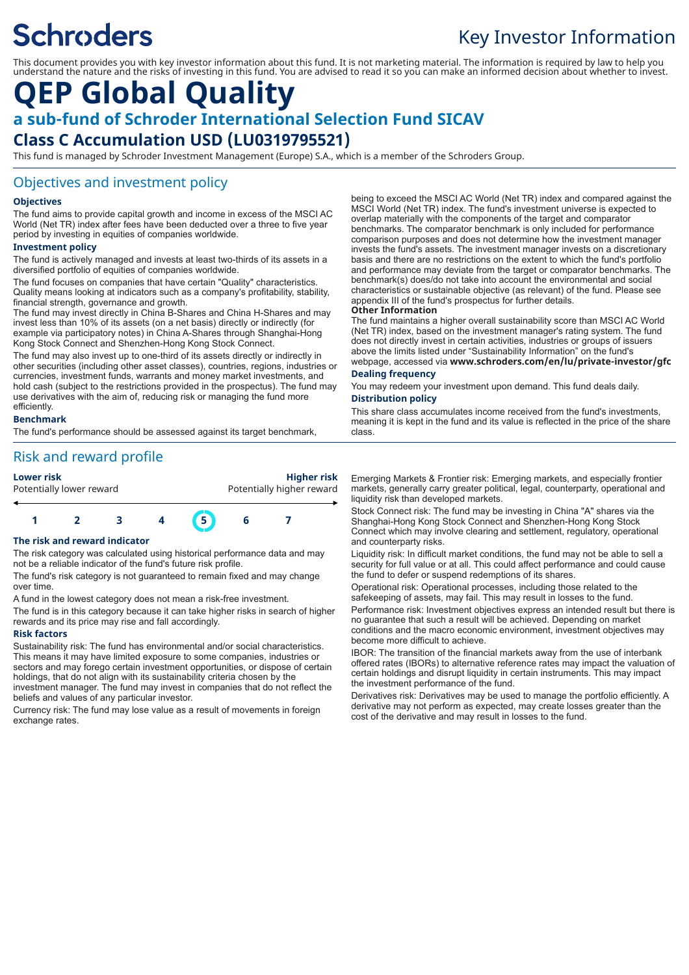# **Schroders**

# Key Investor Information

This document provides you with key investor information about this fund. It is not marketing material. The information is required by law to help you understand the nature and the risks of investing in this fund. You are advised to read it so you can make an informed decision about whether to invest.

# **QEP Global Quality**

# **a sub-fund of Schroder International Selection Fund SICAV**

# **Class C Accumulation USD (LU0319795521)**

This fund is managed by Schroder Investment Management (Europe) S.A., which is a member of the Schroders Group.

# Objectives and investment policy

# **Objectives**

The fund aims to provide capital growth and income in excess of the MSCI AC World (Net TR) index after fees have been deducted over a three to five year period by investing in equities of companies worldwide.

## **Investment policy**

The fund is actively managed and invests at least two-thirds of its assets in a diversified portfolio of equities of companies worldwide.

The fund focuses on companies that have certain "Quality" characteristics. Quality means looking at indicators such as a company's profitability, stability, financial strength, governance and growth.

The fund may invest directly in China B-Shares and China H-Shares and may invest less than 10% of its assets (on a net basis) directly or indirectly (for example via participatory notes) in China A-Shares through Shanghai-Hong Kong Stock Connect and Shenzhen-Hong Kong Stock Connect.

The fund may also invest up to one-third of its assets directly or indirectly in other securities (including other asset classes), countries, regions, industries or currencies, investment funds, warrants and money market investments, and hold cash (subject to the restrictions provided in the prospectus). The fund may use derivatives with the aim of, reducing risk or managing the fund more efficiently.

## **Benchmark**

The fund's performance should be assessed against its target benchmark,

# Risk and reward profile

**Lower risk Higher risk** Potentially lower reward **Potentially higher reward** 



## **The risk and reward indicator**

The risk category was calculated using historical performance data and may not be a reliable indicator of the fund's future risk profile.

The fund's risk category is not guaranteed to remain fixed and may change over time.

A fund in the lowest category does not mean a risk-free investment.

The fund is in this category because it can take higher risks in search of higher rewards and its price may rise and fall accordingly.

### **Risk factors**

Sustainability risk: The fund has environmental and/or social characteristics. This means it may have limited exposure to some companies, industries or sectors and may forego certain investment opportunities, or dispose of certain holdings, that do not align with its sustainability criteria chosen by the investment manager. The fund may invest in companies that do not reflect the beliefs and values of any particular investor.

Currency risk: The fund may lose value as a result of movements in foreign exchange rates.

being to exceed the MSCI AC World (Net TR) index and compared against the MSCI World (Net TR) index. The fund's investment universe is expected to overlap materially with the components of the target and comparator benchmarks. The comparator benchmark is only included for performance comparison purposes and does not determine how the investment manager invests the fund's assets. The investment manager invests on a discretionary basis and there are no restrictions on the extent to which the fund's portfolio and performance may deviate from the target or comparator benchmarks. The benchmark(s) does/do not take into account the environmental and social characteristics or sustainable objective (as relevant) of the fund. Please see appendix III of the fund's prospectus for further details.

### **Other Information**

The fund maintains a higher overall sustainability score than MSCI AC World (Net TR) index, based on the investment manager's rating system. The fund does not directly invest in certain activities, industries or groups of issuers above the limits listed under "Sustainability Information" on the fund's webpage, accessed via **www.schroders.com/en/lu/private-investor/gfc**

# **Dealing frequency**

You may redeem your investment upon demand. This fund deals daily. **Distribution policy**

This share class accumulates income received from the fund's investments, meaning it is kept in the fund and its value is reflected in the price of the share class.

Emerging Markets & Frontier risk: Emerging markets, and especially frontier markets, generally carry greater political, legal, counterparty, operational and liquidity risk than developed markets.

Stock Connect risk: The fund may be investing in China "A" shares via the Shanghai-Hong Kong Stock Connect and Shenzhen-Hong Kong Stock Connect which may involve clearing and settlement, regulatory, operational and counterparty risks.

Liquidity risk: In difficult market conditions, the fund may not be able to sell a security for full value or at all. This could affect performance and could cause the fund to defer or suspend redemptions of its shares.

Operational risk: Operational processes, including those related to the safekeeping of assets, may fail. This may result in losses to the fund.

Performance risk: Investment objectives express an intended result but there is no guarantee that such a result will be achieved. Depending on market conditions and the macro economic environment, investment objectives may become more difficult to achieve.

IBOR: The transition of the financial markets away from the use of interbank offered rates (IBORs) to alternative reference rates may impact the valuation of certain holdings and disrupt liquidity in certain instruments. This may impact the investment performance of the fund.

Derivatives risk: Derivatives may be used to manage the portfolio efficiently. A derivative may not perform as expected, may create losses greater than the cost of the derivative and may result in losses to the fund.